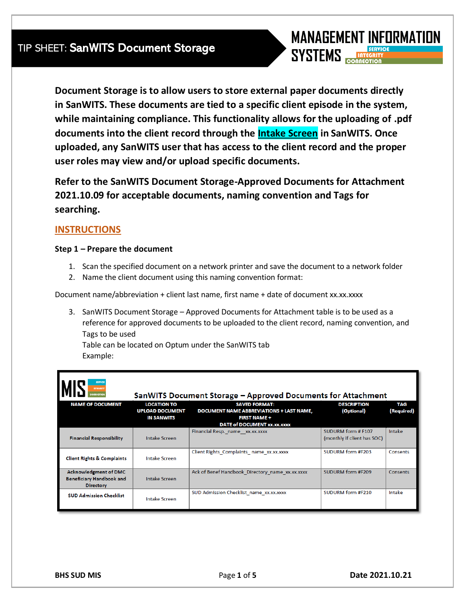

**Document Storage is to allow users to store external paper documents directly in SanWITS. These documents are tied to a specific client episode in the system, while maintaining compliance. This functionality allows for the uploading of .pdf documents into the client record through the Intake Screen in SanWITS. Once uploaded, any SanWITS user that has access to the client record and the proper user roles may view and/or upload specific documents.**

**Refer to the SanWITS Document Storage-Approved Documents for Attachment 2021.10.09 for acceptable documents, naming convention and Tags for searching.**

### **INSTRUCTIONS**

### **Step 1 – Prepare the document**

- 1. Scan the specified document on a network printer and save the document to a network folder
- 2. Name the client document using this naming convention format:

Document name/abbreviation + client last name, first name + date of document xx.xx.xxxx

3. SanWITS Document Storage – Approved Documents for Attachment table is to be used as a reference for approved documents to be uploaded to the client record, naming convention, and Tags to be used

Table can be located on Optum under the SanWITS tab Example:

| <b>SERVICE</b><br><b>INTEGRITY</b><br>SanWITS Document Storage - Approved Documents for Attachment<br><b>DONNEOTION</b> |                                                                   |                                                                                                                               |                                                   |                          |  |  |  |  |  |  |
|-------------------------------------------------------------------------------------------------------------------------|-------------------------------------------------------------------|-------------------------------------------------------------------------------------------------------------------------------|---------------------------------------------------|--------------------------|--|--|--|--|--|--|
| <b>NAME OF DOCUMENT</b>                                                                                                 | <b>LOCATION TO</b><br><b>UPLOAD DOCUMENT</b><br><b>IN SANWITS</b> | <b>SAVED FORMAT:</b><br><b>DOCUMENT NAME ABBREVIATIONS + LAST NAME,</b><br><b>FIRST NAME +</b><br>DATE of DOCUMENT XX.XX.XXXX | <b>DESCRIPTION</b><br>(Optional)                  | <b>TAG</b><br>(Required) |  |  |  |  |  |  |
| <b>Financial Responsibility</b>                                                                                         | <b>Intake Screen</b>                                              | Financial Resp. name xx.xx.xxxx                                                                                               | SUDURM form # F107<br>(monthly if client has SOC) | Intake                   |  |  |  |  |  |  |
| <b>Client Rights &amp; Complaints</b>                                                                                   | <b>Intake Screen</b>                                              | Client Rights Complaints_name_xx.xx.xxxx                                                                                      | SUDURM form #F203                                 | Consents                 |  |  |  |  |  |  |
| <b>Acknowledgment of DMC</b><br>Beneficiary Handbook and<br><b>Directory</b>                                            | Intake Screen                                                     | Ack of Benef Handbook Directory name xx.xx.xxxx                                                                               | SUDURM form #F209                                 | Consents                 |  |  |  |  |  |  |
| <b>SUD Admission Checklist</b>                                                                                          | <b>Intake Screen</b>                                              | SUD Admission Checklist_name_xx.xx.xxxx                                                                                       | SUDURM form #F210                                 | Intake                   |  |  |  |  |  |  |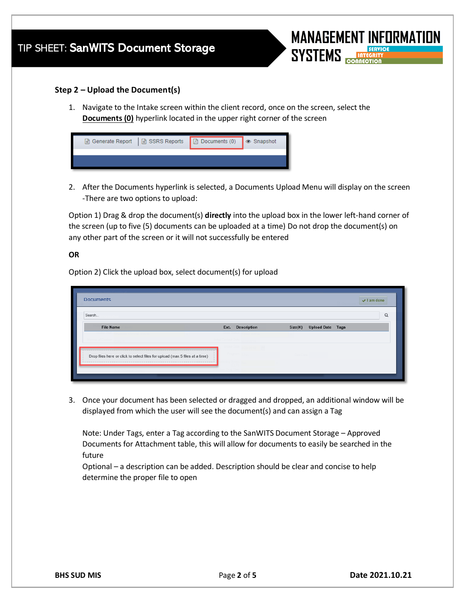

### **Step 2 – Upload the Document(s)**

1. Navigate to the Intake screen within the client record, once on the screen, select the **Documents (0)** hyperlink located in the upper right corner of the screen

| Generate Report   B SSRS Reports   B Documents (0) | ■ Snapshot |
|----------------------------------------------------|------------|
|                                                    |            |
|                                                    |            |

2. After the Documents hyperlink is selected, a Documents Upload Menu will display on the screen -There are two options to upload:

Option 1) Drag & drop the document(s) **directly** into the upload box in the lower left-hand corner of the screen (up to five (5) documents can be uploaded at a time) Do not drop the document(s) on any other part of the screen or it will not successfully be entered

#### **OR**

Option 2) Click the upload box, select document(s) for upload

| Search                                                                      |                  |                          | Q |
|-----------------------------------------------------------------------------|------------------|--------------------------|---|
| <b>File Name</b>                                                            | Ext. Description | Size(K) Upload Date Tags |   |
|                                                                             |                  |                          |   |
| Drop files here or click to select files for upload (max 5 files at a time) |                  |                          |   |

3. Once your document has been selected or dragged and dropped, an additional window will be displayed from which the user will see the document(s) and can assign a Tag

Note: Under Tags, enter a Tag according to the SanWITS Document Storage – Approved Documents for Attachment table, this will allow for documents to easily be searched in the future

Optional – a description can be added. Description should be clear and concise to help determine the proper file to open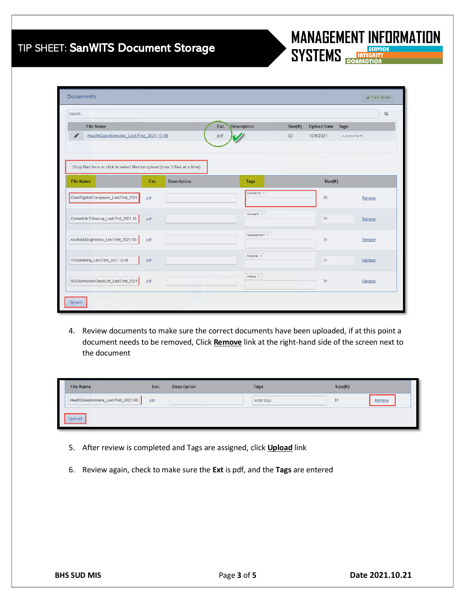# TIP SHEET: SanV

Document

File  $He$ 

Drop files h **File Name** 

ClientRights&C

Consent to Fol

Alcohol&DrugH

Upload

TBScreening\_Last,First\_2021.10.09

SUDAdmissionCheckList\_Last,First\_2021

pdf

pdf

Search.

| <b>VITS Document Storage</b>                                                                              |      |             |                            |              |         |                            | <b>MANAGEMENT INFORMATION</b><br>SYSTEMS <b>EXPIRE SERVICE</b> |                                 |  |
|-----------------------------------------------------------------------------------------------------------|------|-------------|----------------------------|--------------|---------|----------------------------|----------------------------------------------------------------|---------------------------------|--|
|                                                                                                           |      |             |                            |              |         |                            |                                                                | $\blacktriangleright$ I am done |  |
|                                                                                                           |      |             |                            |              |         |                            |                                                                | Q                               |  |
| Name                                                                                                      |      |             | <b>Description</b><br>Ext. |              | Size(K) | <b>Upload Date</b><br>Tags |                                                                |                                 |  |
| IthQuestionnaire Last,First 2021.10.09<br>ere or click to select files for upload (max 5 files at a time) |      |             | pdf                        |              | 32      | 10/9/2021                  | Assessment                                                     |                                 |  |
|                                                                                                           | Ext. | Description |                            | <b>Tags</b>  |         | Size(K)                    |                                                                |                                 |  |
| :omplaints_Last,First_2021                                                                                | pdf  |             |                            | Consents X   |         | 25                         | Remove                                                         |                                 |  |
| low-up_Last,First_2021.10.                                                                                | pdf  |             |                            | Consent X    |         | 31                         | Remove                                                         |                                 |  |
| listory_Last,First_2021.10.                                                                               | pdf  |             |                            | Assessment X |         | 31                         | Remove                                                         |                                 |  |
|                                                                                                           |      |             |                            |              |         |                            |                                                                |                                 |  |

Medical  $\mathbb{X}$ 

Intake  $\times$ 

 $31$ 

 $31$ 

Remove

Remove

4. Review documents to make sure the correct documents have been uploaded, if at this point a document needs to be removed, Click **Remove** link at the right-hand side of the screen next to the document

| <b>File Name</b>                         | Ext. | Description | Tags       | Size(K) |        |
|------------------------------------------|------|-------------|------------|---------|--------|
| HealthQuestionnaire_Last,First_2021.08.2 | pdf  |             | Enter tags | 31      | Remove |
| Jpload                                   |      |             |            |         |        |

- 5. After review is completed and Tags are assigned, click **Upload** link
- 6. Review again, check to make sure the **Ext** is pdf, and the **Tags** are entered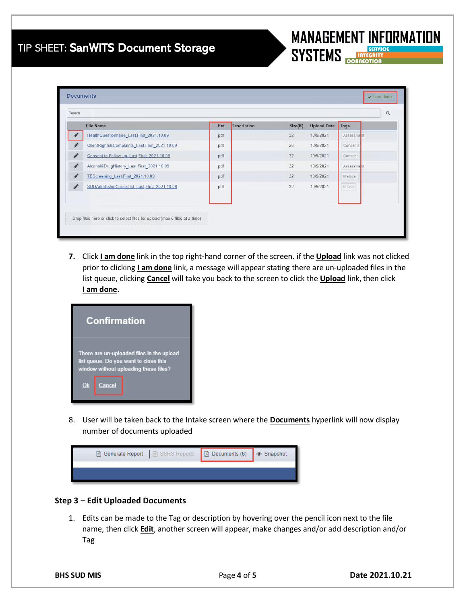### TIP SHEET: SanWITS Document Storage

| Search                                                       |      |                    |         |                    | Q          |
|--------------------------------------------------------------|------|--------------------|---------|--------------------|------------|
| <b>File Name</b>                                             | Ext. | <b>Description</b> | Size(K) | <b>Upload Date</b> | Tags       |
| HealthQuestionnaire Last,First 2021.10.09                    | pdf  |                    | 32      | 10/9/2021          | Assessment |
| P,<br>ClientRights&Complaints_Last,First_2021.10.09          | pdf  |                    | 26      | 10/9/2021          | Consents   |
| $\mathscr{L}$<br>Consent to Follow-up Last, First 2021.10.09 | pdf  |                    | 32      | 10/9/2021          | Consent    |
| $\mathcal{L}$<br>Alcohol&DrugHistory_Last,First_2021.10.09   | pdf  |                    | 32      | 10/9/2021          | Assessment |
| it<br>TBScreening Last, First 2021.10.09                     | pdf  |                    | 32      | 10/9/2021          | Medical    |
| SUDAdmissionCheckList Last, First 2021.10.09                 | pdf  |                    | 32      | 10/9/2021          | Intake     |
|                                                              |      |                    |         |                    |            |

**7.** Click **I am done** link in the top right-hand corner of the screen. if the **Upload** link was not clicked prior to clicking **I am done** link, a message will appear stating there are un-uploaded files in the list queue, clicking **Cancel** will take you back to the screen to click the **Upload** link, then click **I am done**.



8. User will be taken back to the Intake screen where the **Documents** hyperlink will now display number of documents uploaded

| Generate Report   E SSRS Reports   C Documents (6)   Snapshot |  |
|---------------------------------------------------------------|--|
|                                                               |  |
|                                                               |  |

### **Step 3 – Edit Uploaded Documents**

1. Edits can be made to the Tag or description by hovering over the pencil icon next to the file name, then click **Edit**, another screen will appear, make changes and/or add description and/or Tag

**MANAGEMENT INFORMATION** 

**SERVICE** 

**SYSTEMS**